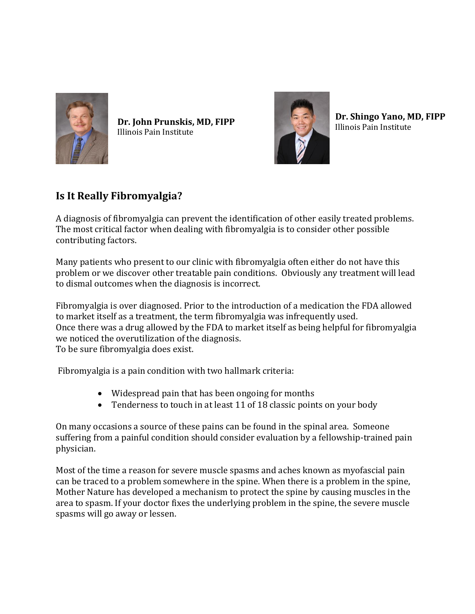

**Dr. John Prunskis, MD, FIPP** Illinois Pain Institute



**Dr. Shingo Yano, MD, FIPP** Illinois Pain Institute

## **Is It Really Fibromyalgia?**

A diagnosis of fibromyalgia can prevent the identification of other easily treated problems. The most critical factor when dealing with fibromyalgia is to consider other possible contributing factors.

Many patients who present to our clinic with fibromyalgia often either do not have this problem or we discover other treatable pain conditions. Obviously any treatment will lead to dismal outcomes when the diagnosis is incorrect.

Fibromyalgia is over diagnosed. Prior to the introduction of a medication the FDA allowed to market itself as a treatment, the term fibromyalgia was infrequently used. Once there was a drug allowed by the FDA to market itself as being helpful for fibromyalgia we noticed the overutilization of the diagnosis. To be sure fibromyalgia does exist.

Fibromyalgia is a pain condition with two hallmark criteria:

- Widespread pain that has been ongoing for months
- Tenderness to touch in at least 11 of 18 classic points on your body

On many occasions a source of these pains can be found in the spinal area. Someone suffering from a painful condition should consider evaluation by a fellowship-trained pain physician.

Most of the time a reason for severe muscle spasms and aches known as myofascial pain can be traced to a problem somewhere in the spine. When there is a problem in the spine, Mother Nature has developed a mechanism to protect the spine by causing muscles in the area to spasm. If your doctor fixes the underlying problem in the spine, the severe muscle spasms will go away or lessen.